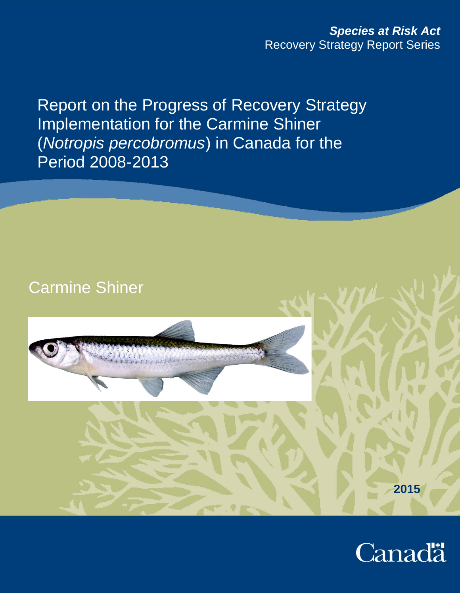Report on the Progress of Recovery Strategy Implementation for the Carmine Shiner (*Notropis percobromus*) in Canada for the Period 2008-2013



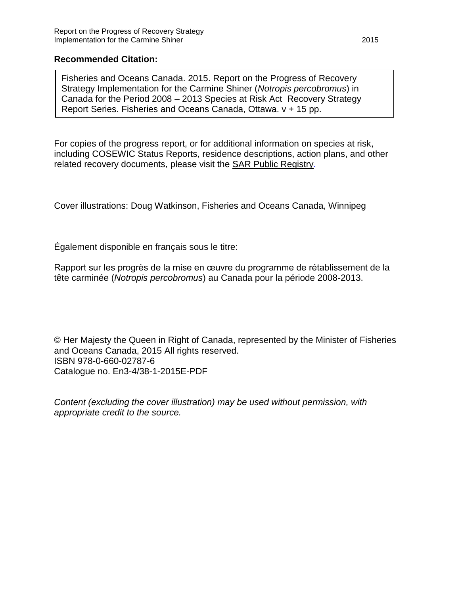### **Recommended Citation:**

Fisheries and Oceans Canada. 2015. Report on the Progress of Recovery Strategy Implementation for the Carmine Shiner (*Notropis percobromus*) in Canada for the Period 2008 – 2013 Species at Risk Act Recovery Strategy Report Series. Fisheries and Oceans Canada, Ottawa. v + 15 pp.

For copies of the progress report, or for additional information on species at risk, including COSEWIC Status Reports, residence descriptions, action plans, and other related recovery documents, please visit the [SAR Public Registry.](http://www.sararegistry.gc.ca/)

Cover illustrations: Doug Watkinson, Fisheries and Oceans Canada, Winnipeg

Également disponible en français sous le titre:

Rapport sur les progrès de la mise en œuvre du programme de rétablissement de la tête carminée (*Notropis percobromus*) au Canada pour la période 2008-2013.

© Her Majesty the Queen in Right of Canada, represented by the Minister of Fisheries and Oceans Canada, 2015 All rights reserved. ISBN 978-0-660-02787-6 Catalogue no. En3-4/38-1-2015E-PDF

*Content (excluding the cover illustration) may be used without permission, with appropriate credit to the source.*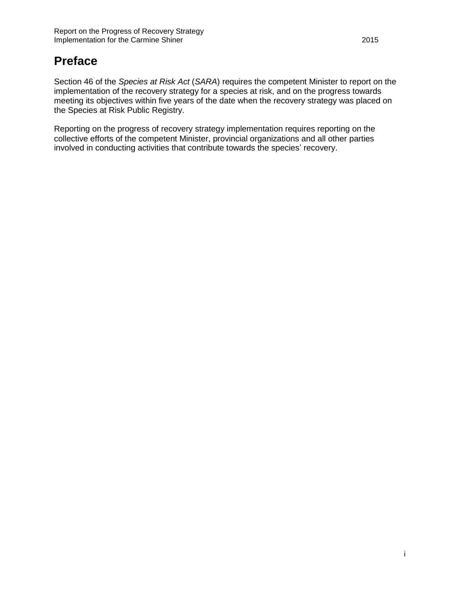# **Preface**

Section 46 of the *Species at Risk Act* (*SARA*) requires the competent Minister to report on the implementation of the recovery strategy for a species at risk, and on the progress towards meeting its objectives within five years of the date when the recovery strategy was placed on the Species at Risk Public Registry.

Reporting on the progress of recovery strategy implementation requires reporting on the collective efforts of the competent Minister, provincial organizations and all other parties involved in conducting activities that contribute towards the species' recovery.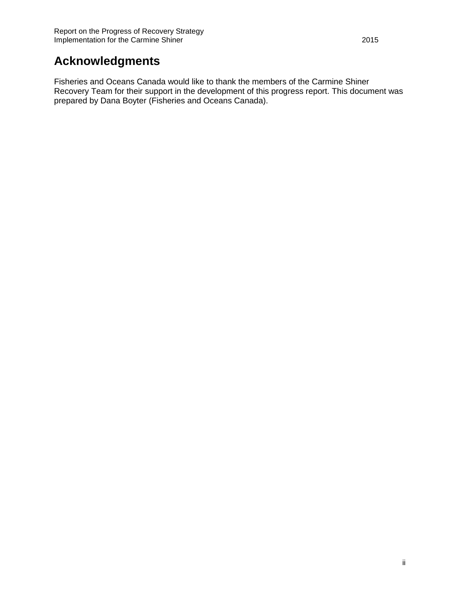# **Acknowledgments**

Fisheries and Oceans Canada would like to thank the members of the Carmine Shiner Recovery Team for their support in the development of this progress report. This document was prepared by Dana Boyter (Fisheries and Oceans Canada).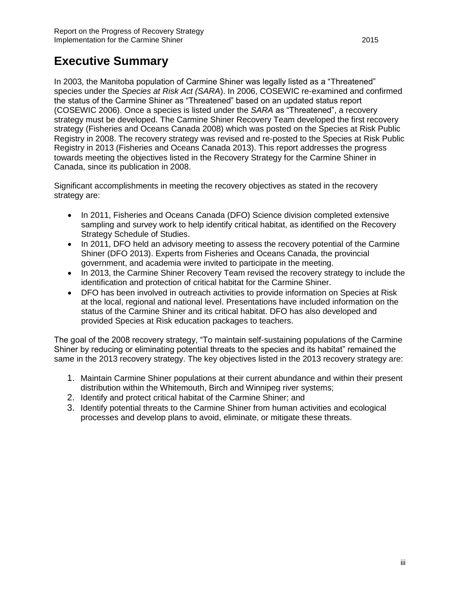## <span id="page-4-0"></span>**Executive Summary**

In 2003, the Manitoba population of Carmine Shiner was legally listed as a "Threatened" species under the *Species at Risk Act (SARA*). In 2006, COSEWIC re-examined and confirmed the status of the Carmine Shiner as "Threatened" based on an updated status report (COSEWIC 2006). Once a species is listed under the *SARA* as "Threatened", a recovery strategy must be developed. The Carmine Shiner Recovery Team developed the first recovery strategy (Fisheries and Oceans Canada 2008) which was posted on the Species at Risk Public Registry in 2008. The recovery strategy was revised and re-posted to the Species at Risk Public Registry in 2013 (Fisheries and Oceans Canada 2013). This report addresses the progress towards meeting the objectives listed in the Recovery Strategy for the Carmine Shiner in Canada, since its publication in 2008.

Significant accomplishments in meeting the recovery objectives as stated in the recovery strategy are:

- In 2011, Fisheries and Oceans Canada (DFO) Science division completed extensive sampling and survey work to help identify critical habitat, as identified on the Recovery Strategy Schedule of Studies.
- In 2011, DFO held an advisory meeting to assess the recovery potential of the Carmine Shiner (DFO 2013). Experts from Fisheries and Oceans Canada, the provincial government, and academia were invited to participate in the meeting.
- In 2013, the Carmine Shiner Recovery Team revised the recovery strategy to include the identification and protection of critical habitat for the Carmine Shiner.
- DFO has been involved in outreach activities to provide information on Species at Risk at the local, regional and national level. Presentations have included information on the status of the Carmine Shiner and its critical habitat. DFO has also developed and provided Species at Risk education packages to teachers.

The goal of the 2008 recovery strategy, "To maintain self-sustaining populations of the Carmine Shiner by reducing or eliminating potential threats to the species and its habitat" remained the same in the 2013 recovery strategy. The key objectives listed in the 2013 recovery strategy are:

- 1. Maintain Carmine Shiner populations at their current abundance and within their present distribution within the Whitemouth, Birch and Winnipeg river systems;
- 2. Identify and protect critical habitat of the Carmine Shiner; and
- 3. Identify potential threats to the Carmine Shiner from human activities and ecological processes and develop plans to avoid, eliminate, or mitigate these threats.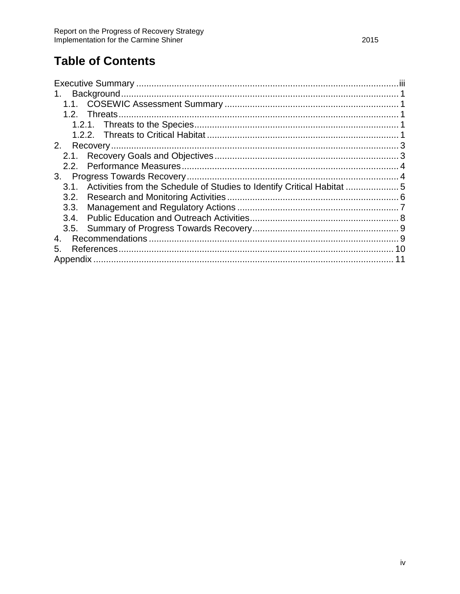# **Table of Contents**

<span id="page-5-0"></span>

| 1.               |  |
|------------------|--|
|                  |  |
|                  |  |
|                  |  |
|                  |  |
| 2 <sub>1</sub>   |  |
| 2.1.             |  |
| 2.2 <sub>1</sub> |  |
| 3.               |  |
| 3.1.             |  |
| 3.2.             |  |
| 3.3.             |  |
|                  |  |
|                  |  |
| 4.               |  |
| 5.               |  |
|                  |  |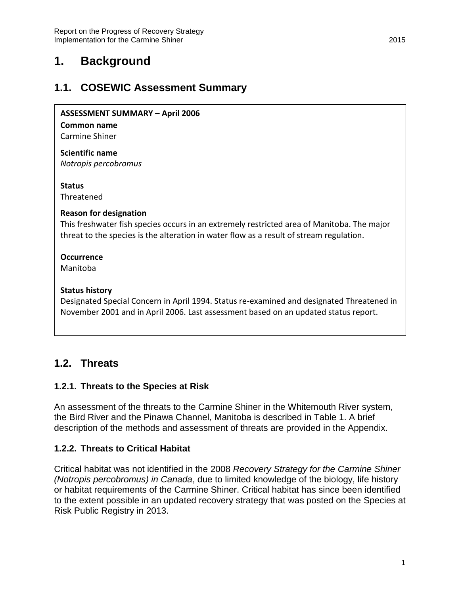## **1. Background**

## <span id="page-6-0"></span>**1.1. COSEWIC Assessment Summary**

#### **ASSESSMENT SUMMARY – April 2006**

#### **Common name**

Carmine Shiner

**Scientific name** *Notropis percobromus*

#### **Status**

Threatened

#### **Reason for designation**

This freshwater fish species occurs in an extremely restricted area of Manitoba. The major threat to the species is the alteration in water flow as a result of stream regulation.

### **Occurrence**

Manitoba

#### **Status history**

Designated Special Concern in April 1994. Status re-examined and designated Threatened in November 2001 and in April 2006. Last assessment based on an updated status report.

### <span id="page-6-1"></span>**1.2. Threats**

### <span id="page-6-2"></span>**1.2.1. Threats to the Species at Risk**

An assessment of the threats to the Carmine Shiner in the Whitemouth River system, the Bird River and the Pinawa Channel, Manitoba is described in Table 1. A brief description of the methods and assessment of threats are provided in the Appendix.

### <span id="page-6-3"></span>**1.2.2. Threats to Critical Habitat**

Critical habitat was not identified in the 2008 *Recovery Strategy for the Carmine Shiner (Notropis percobromus) in Canada*, due to limited knowledge of the biology, life history or habitat requirements of the Carmine Shiner. Critical habitat has since been identified to the extent possible in an updated recovery strategy that was posted on the Species at Risk Public Registry in 2013.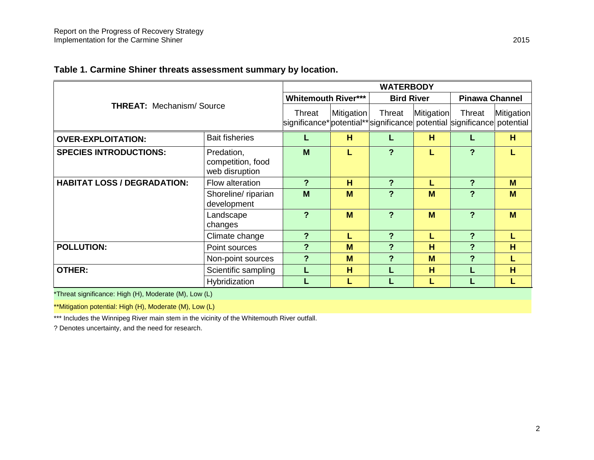### **Table 1. Carmine Shiner threats assessment summary by location.**

|                                    | <b>WATERBODY</b>                                                                    |                            |        |                   |        |                       |   |
|------------------------------------|-------------------------------------------------------------------------------------|----------------------------|--------|-------------------|--------|-----------------------|---|
|                                    |                                                                                     | <b>Whitemouth River***</b> |        | <b>Bird River</b> |        | <b>Pinawa Channel</b> |   |
| <b>THREAT: Mechanism/Source</b>    | Threat<br>significance* potential** significance  potential significance  potential | Mitigation                 | Threat | Mitigation        | Threat | Mitigation            |   |
| <b>OVER-EXPLOITATION:</b>          | <b>Bait fisheries</b>                                                               |                            | н      |                   | H      |                       | H |
| <b>SPECIES INTRODUCTIONS:</b>      | Predation,<br>competition, food<br>web disruption                                   | M                          |        | ?                 |        | ?                     |   |
| <b>HABITAT LOSS / DEGRADATION:</b> | Flow alteration                                                                     | ?                          | H      | $\boldsymbol{P}$  |        | ?                     | M |
|                                    | Shoreline/ riparian<br>development                                                  | M                          | M      | $\overline{?}$    | M      | ?                     | M |
|                                    | Landscape<br>changes                                                                | $\overline{?}$             | M      | ?                 | M      | ?                     | M |
|                                    | Climate change                                                                      | ?                          | L      | ?                 |        | ?                     |   |
| <b>POLLUTION:</b>                  | Point sources                                                                       | ?                          | M      | ?                 | H      | ?                     | H |
|                                    | Non-point sources                                                                   | ?                          | M      | ?                 | M      | ?                     |   |
| <b>OTHER:</b>                      | Scientific sampling                                                                 |                            | H      |                   | H      |                       | H |
|                                    | Hybridization                                                                       |                            | L      |                   |        |                       |   |

\*Threat significance: High (H), Moderate (M), Low (L)

\*\*Mitigation potential: High (H), Moderate (M), Low (L)

\*\*\* Includes the Winnipeg River main stem in the vicinity of the Whitemouth River outfall.

? Denotes uncertainty, and the need for research.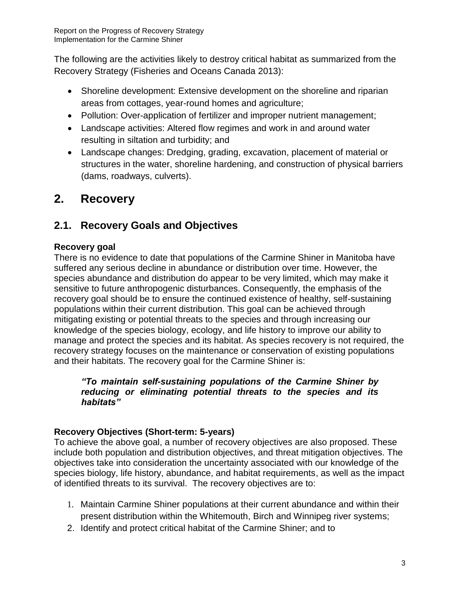The following are the activities likely to destroy critical habitat as summarized from the Recovery Strategy (Fisheries and Oceans Canada 2013):

- Shoreline development: Extensive development on the shoreline and riparian areas from cottages, year-round homes and agriculture;
- Pollution: Over-application of fertilizer and improper nutrient management;
- Landscape activities: Altered flow regimes and work in and around water resulting in siltation and turbidity; and
- Landscape changes: Dredging, grading, excavation, placement of material or structures in the water, shoreline hardening, and construction of physical barriers (dams, roadways, culverts).

# <span id="page-8-0"></span>**2. Recovery**

## <span id="page-8-1"></span>**2.1. Recovery Goals and Objectives**

### **Recovery goal**

There is no evidence to date that populations of the Carmine Shiner in Manitoba have suffered any serious decline in abundance or distribution over time. However, the species abundance and distribution do appear to be very limited, which may make it sensitive to future anthropogenic disturbances. Consequently, the emphasis of the recovery goal should be to ensure the continued existence of healthy, self-sustaining populations within their current distribution. This goal can be achieved through mitigating existing or potential threats to the species and through increasing our knowledge of the species biology, ecology, and life history to improve our ability to manage and protect the species and its habitat. As species recovery is not required, the recovery strategy focuses on the maintenance or conservation of existing populations and their habitats. The recovery goal for the Carmine Shiner is:

### *"To maintain self-sustaining populations of the Carmine Shiner by reducing or eliminating potential threats to the species and its habitats"*

### **Recovery Objectives (Short-term: 5-years)**

To achieve the above goal, a number of recovery objectives are also proposed. These include both population and distribution objectives, and threat mitigation objectives. The objectives take into consideration the uncertainty associated with our knowledge of the species biology, life history, abundance, and habitat requirements, as well as the impact of identified threats to its survival. The recovery objectives are to:

- 1. Maintain Carmine Shiner populations at their current abundance and within their present distribution within the Whitemouth, Birch and Winnipeg river systems;
- 2. Identify and protect critical habitat of the Carmine Shiner; and to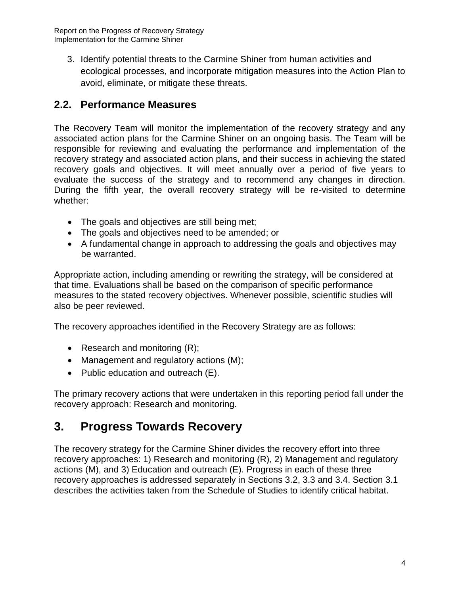Report on the Progress of Recovery Strategy Implementation for the Carmine Shiner

3. Identify potential threats to the Carmine Shiner from human activities and ecological processes, and incorporate mitigation measures into the Action Plan to avoid, eliminate, or mitigate these threats.

## <span id="page-9-0"></span>**2.2. Performance Measures**

The Recovery Team will monitor the implementation of the recovery strategy and any associated action plans for the Carmine Shiner on an ongoing basis. The Team will be responsible for reviewing and evaluating the performance and implementation of the recovery strategy and associated action plans, and their success in achieving the stated recovery goals and objectives. It will meet annually over a period of five years to evaluate the success of the strategy and to recommend any changes in direction. During the fifth year, the overall recovery strategy will be re-visited to determine whether:

- The goals and objectives are still being met;
- The goals and objectives need to be amended; or
- A fundamental change in approach to addressing the goals and objectives may be warranted.

Appropriate action, including amending or rewriting the strategy, will be considered at that time. Evaluations shall be based on the comparison of specific performance measures to the stated recovery objectives. Whenever possible, scientific studies will also be peer reviewed.

The recovery approaches identified in the Recovery Strategy are as follows:

- Research and monitoring  $(R)$ ;
- Management and regulatory actions (M);
- Public education and outreach (E).

The primary recovery actions that were undertaken in this reporting period fall under the recovery approach: Research and monitoring.

## <span id="page-9-1"></span>**3. Progress Towards Recovery**

The recovery strategy for the Carmine Shiner divides the recovery effort into three recovery approaches: 1) Research and monitoring (R), 2) Management and regulatory actions (M), and 3) Education and outreach (E). Progress in each of these three recovery approaches is addressed separately in Sections 3.2, 3.3 and 3.4. Section 3.1 describes the activities taken from the Schedule of Studies to identify critical habitat.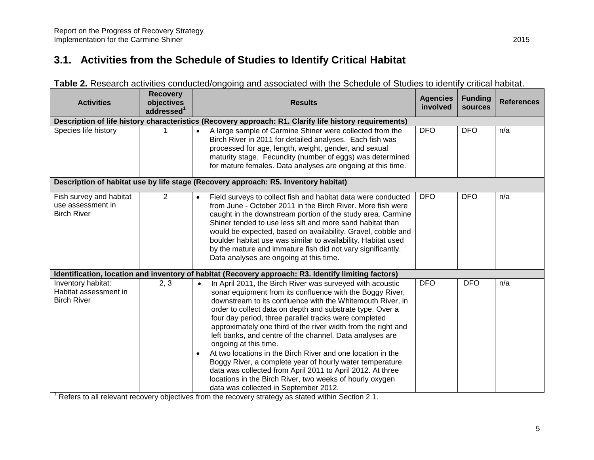# **3.1. Activities from the Schedule of Studies to Identify Critical Habitat**

| <b>Activities</b>                                                  | <b>Recovery</b><br>objectives<br>addressed <sup>1</sup> | <b>Results</b>                                                                                                                                                                                                                                                                                                                                                                                                                                                                                                                                                                                                                                                                                                                                                                           | <b>Agencies</b><br>involved | <b>Funding</b><br>sources | <b>References</b> |
|--------------------------------------------------------------------|---------------------------------------------------------|------------------------------------------------------------------------------------------------------------------------------------------------------------------------------------------------------------------------------------------------------------------------------------------------------------------------------------------------------------------------------------------------------------------------------------------------------------------------------------------------------------------------------------------------------------------------------------------------------------------------------------------------------------------------------------------------------------------------------------------------------------------------------------------|-----------------------------|---------------------------|-------------------|
|                                                                    |                                                         | Description of life history characteristics (Recovery approach: R1. Clarify life history requirements)                                                                                                                                                                                                                                                                                                                                                                                                                                                                                                                                                                                                                                                                                   |                             |                           |                   |
| Species life history                                               |                                                         | A large sample of Carmine Shiner were collected from the<br>$\bullet$<br>Birch River in 2011 for detailed analyses. Each fish was<br>processed for age, length, weight, gender, and sexual<br>maturity stage. Fecundity (number of eggs) was determined<br>for mature females. Data analyses are ongoing at this time.                                                                                                                                                                                                                                                                                                                                                                                                                                                                   | <b>DFO</b>                  | <b>DFO</b>                | n/a               |
|                                                                    |                                                         | Description of habitat use by life stage (Recovery approach: R5. Inventory habitat)                                                                                                                                                                                                                                                                                                                                                                                                                                                                                                                                                                                                                                                                                                      |                             |                           |                   |
| Fish survey and habitat<br>use assessment in<br><b>Birch River</b> | $\overline{2}$                                          | Field surveys to collect fish and habitat data were conducted<br>$\bullet$<br>from June - October 2011 in the Birch River. More fish were<br>caught in the downstream portion of the study area. Carmine<br>Shiner tended to use less silt and more sand habitat than<br>would be expected, based on availability. Gravel, cobble and<br>boulder habitat use was similar to availability. Habitat used<br>by the mature and immature fish did not vary significantly.<br>Data analyses are ongoing at this time.                                                                                                                                                                                                                                                                         | <b>DFO</b>                  | <b>DFO</b>                | n/a               |
|                                                                    |                                                         | Identification, location and inventory of habitat (Recovery approach: R3. Identify limiting factors)                                                                                                                                                                                                                                                                                                                                                                                                                                                                                                                                                                                                                                                                                     |                             |                           |                   |
| Inventory habitat:<br>Habitat assessment in<br><b>Birch River</b>  | 2, 3                                                    | In April 2011, the Birch River was surveyed with acoustic<br>$\bullet$<br>sonar equipment from its confluence with the Boggy River,<br>downstream to its confluence with the Whitemouth River, in<br>order to collect data on depth and substrate type. Over a<br>four day period, three parallel tracks were completed<br>approximately one third of the river width from the right and<br>left banks, and centre of the channel. Data analyses are<br>ongoing at this time.<br>At two locations in the Birch River and one location in the<br>$\bullet$<br>Boggy River, a complete year of hourly water temperature<br>data was collected from April 2011 to April 2012. At three<br>locations in the Birch River, two weeks of hourly oxygen<br>data was collected in September 2012. | <b>DFO</b>                  | <b>DFO</b>                | n/a               |

| Table 2. Research activities conducted/ongoing and associated with the Schedule of Studies to identify critical habitat. |  |  |
|--------------------------------------------------------------------------------------------------------------------------|--|--|
|--------------------------------------------------------------------------------------------------------------------------|--|--|

 $1$  Refers to all relevant recovery objectives from the recovery strategy as stated within Section 2.1.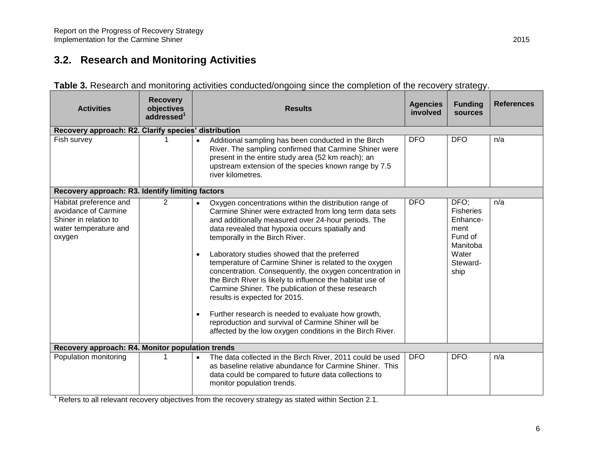# **3.2. Research and Monitoring Activities**

<span id="page-11-0"></span>

| <b>Activities</b>                                                                                          | <b>Recovery</b><br>objectives<br>addressed <sup>1</sup> | <b>Results</b>                                                                                                                                                                                                                                                                                                                                                                                                                                                                                                                                                                                                                                                                                                                                                                                         |            | <b>Funding</b><br>sources                                                                        | <b>References</b> |
|------------------------------------------------------------------------------------------------------------|---------------------------------------------------------|--------------------------------------------------------------------------------------------------------------------------------------------------------------------------------------------------------------------------------------------------------------------------------------------------------------------------------------------------------------------------------------------------------------------------------------------------------------------------------------------------------------------------------------------------------------------------------------------------------------------------------------------------------------------------------------------------------------------------------------------------------------------------------------------------------|------------|--------------------------------------------------------------------------------------------------|-------------------|
| Recovery approach: R2. Clarify species' distribution                                                       |                                                         |                                                                                                                                                                                                                                                                                                                                                                                                                                                                                                                                                                                                                                                                                                                                                                                                        |            |                                                                                                  |                   |
| Fish survey                                                                                                |                                                         | Additional sampling has been conducted in the Birch<br>$\bullet$<br>River. The sampling confirmed that Carmine Shiner were<br>present in the entire study area (52 km reach); an<br>upstream extension of the species known range by 7.5<br>river kilometres.                                                                                                                                                                                                                                                                                                                                                                                                                                                                                                                                          | <b>DFO</b> | <b>DFO</b>                                                                                       | n/a               |
| Recovery approach: R3. Identify limiting factors                                                           |                                                         |                                                                                                                                                                                                                                                                                                                                                                                                                                                                                                                                                                                                                                                                                                                                                                                                        |            |                                                                                                  |                   |
| Habitat preference and<br>avoidance of Carmine<br>Shiner in relation to<br>water temperature and<br>oxygen | 2                                                       | Oxygen concentrations within the distribution range of<br>$\bullet$<br>Carmine Shiner were extracted from long term data sets<br>and additionally measured over 24-hour periods. The<br>data revealed that hypoxia occurs spatially and<br>temporally in the Birch River.<br>Laboratory studies showed that the preferred<br>$\bullet$<br>temperature of Carmine Shiner is related to the oxygen<br>concentration. Consequently, the oxygen concentration in<br>the Birch River is likely to influence the habitat use of<br>Carmine Shiner. The publication of these research<br>results is expected for 2015.<br>Further research is needed to evaluate how growth,<br>$\bullet$<br>reproduction and survival of Carmine Shiner will be<br>affected by the low oxygen conditions in the Birch River. | <b>DFO</b> | DFO;<br><b>Fisheries</b><br>Enhance-<br>ment<br>Fund of<br>Manitoba<br>Water<br>Steward-<br>ship | n/a               |
| Recovery approach: R4. Monitor population trends                                                           |                                                         |                                                                                                                                                                                                                                                                                                                                                                                                                                                                                                                                                                                                                                                                                                                                                                                                        |            |                                                                                                  |                   |
| Population monitoring                                                                                      |                                                         | The data collected in the Birch River, 2011 could be used<br>as baseline relative abundance for Carmine Shiner. This<br>data could be compared to future data collections to<br>monitor population trends.                                                                                                                                                                                                                                                                                                                                                                                                                                                                                                                                                                                             | <b>DFO</b> | <b>DFO</b>                                                                                       | n/a               |

|  |  |  | Table 3. Research and monitoring activities conducted/ongoing since the completion of the recovery strategy. |
|--|--|--|--------------------------------------------------------------------------------------------------------------|
|  |  |  |                                                                                                              |

<sup>1</sup> Refers to all relevant recovery objectives from the recovery strategy as stated within Section 2.1.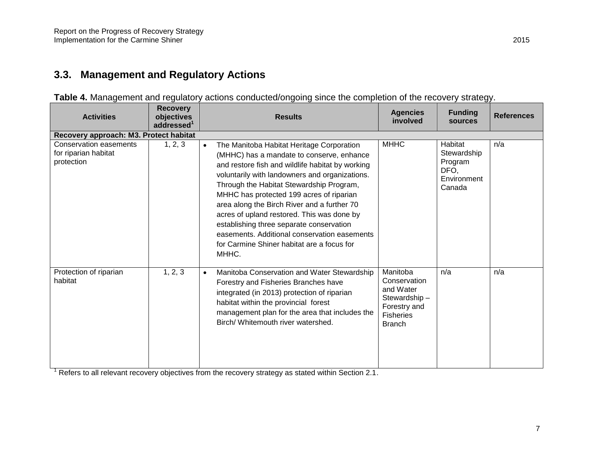## **3.3. Management and Regulatory Actions**

<span id="page-12-0"></span>

| <b>Activities</b>                                                   | <b>Recovery</b><br>objectives<br>addressed <sup>1</sup> | <b>Results</b>                                                                                                                                                                                                                                                                                                                                                                                                                                                                                                                                    | <b>Agencies</b><br>involved                                                                         | <b>Funding</b><br>sources                                          | <b>References</b> |
|---------------------------------------------------------------------|---------------------------------------------------------|---------------------------------------------------------------------------------------------------------------------------------------------------------------------------------------------------------------------------------------------------------------------------------------------------------------------------------------------------------------------------------------------------------------------------------------------------------------------------------------------------------------------------------------------------|-----------------------------------------------------------------------------------------------------|--------------------------------------------------------------------|-------------------|
| Recovery approach: M3. Protect habitat                              |                                                         |                                                                                                                                                                                                                                                                                                                                                                                                                                                                                                                                                   |                                                                                                     |                                                                    |                   |
| <b>Conservation easements</b><br>for riparian habitat<br>protection | 1, 2, 3                                                 | The Manitoba Habitat Heritage Corporation<br>$\bullet$<br>(MHHC) has a mandate to conserve, enhance<br>and restore fish and wildlife habitat by working<br>voluntarily with landowners and organizations.<br>Through the Habitat Stewardship Program,<br>MHHC has protected 199 acres of riparian<br>area along the Birch River and a further 70<br>acres of upland restored. This was done by<br>establishing three separate conservation<br>easements. Additional conservation easements<br>for Carmine Shiner habitat are a focus for<br>MHHC. | <b>MHHC</b>                                                                                         | Habitat<br>Stewardship<br>Program<br>DFO,<br>Environment<br>Canada | n/a               |
| Protection of riparian<br>habitat                                   | 1, 2, 3                                                 | Manitoba Conservation and Water Stewardship<br>$\bullet$<br>Forestry and Fisheries Branches have<br>integrated (in 2013) protection of riparian<br>habitat within the provincial forest<br>management plan for the area that includes the<br>Birch/ Whitemouth river watershed.                                                                                                                                                                                                                                                                   | Manitoba<br>Conservation<br>and Water<br>Stewardship-<br>Forestry and<br>Fisheries<br><b>Branch</b> | n/a                                                                | n/a               |

**Table 4.** Management and regulatory actions conducted/ongoing since the completion of the recovery strategy.

<sup>1</sup> Refers to all relevant recovery objectives from the recovery strategy as stated within Section 2.1.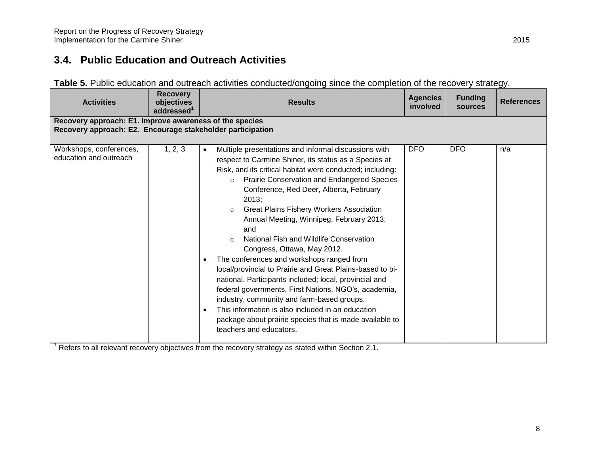## **3.4. Public Education and Outreach Activities**

| Table 5. Public education and outreach activities conducted/ongoing since the completion of the recovery strategy. |  |  |  |  |
|--------------------------------------------------------------------------------------------------------------------|--|--|--|--|
|--------------------------------------------------------------------------------------------------------------------|--|--|--|--|

<span id="page-13-0"></span>

| <b>Activities</b>                                 | <b>Recovery</b><br>objectives<br>addressed <sup>1</sup>                                                               | <b>Results</b>                                                                                                                                                                                                                                                                                                                                                                                                                                                                                                                                                                                                                                                                                                                                                                                                                                                                                                                      | <b>Agencies</b><br>involved | <b>Funding</b><br><b>sources</b> | <b>References</b> |  |  |  |
|---------------------------------------------------|-----------------------------------------------------------------------------------------------------------------------|-------------------------------------------------------------------------------------------------------------------------------------------------------------------------------------------------------------------------------------------------------------------------------------------------------------------------------------------------------------------------------------------------------------------------------------------------------------------------------------------------------------------------------------------------------------------------------------------------------------------------------------------------------------------------------------------------------------------------------------------------------------------------------------------------------------------------------------------------------------------------------------------------------------------------------------|-----------------------------|----------------------------------|-------------------|--|--|--|
|                                                   | Recovery approach: E1. Improve awareness of the species<br>Recovery approach: E2. Encourage stakeholder participation |                                                                                                                                                                                                                                                                                                                                                                                                                                                                                                                                                                                                                                                                                                                                                                                                                                                                                                                                     |                             |                                  |                   |  |  |  |
|                                                   |                                                                                                                       |                                                                                                                                                                                                                                                                                                                                                                                                                                                                                                                                                                                                                                                                                                                                                                                                                                                                                                                                     |                             |                                  |                   |  |  |  |
| Workshops, conferences,<br>education and outreach | 1, 2, 3                                                                                                               | Multiple presentations and informal discussions with<br>$\bullet$<br>respect to Carmine Shiner, its status as a Species at<br>Risk, and its critical habitat were conducted; including:<br>Prairie Conservation and Endangered Species<br>$\circ$<br>Conference, Red Deer, Alberta, February<br>2013;<br><b>Great Plains Fishery Workers Association</b><br>$\circ$<br>Annual Meeting, Winnipeg, February 2013;<br>and<br>National Fish and Wildlife Conservation<br>$\bigcirc$<br>Congress, Ottawa, May 2012.<br>The conferences and workshops ranged from<br>local/provincial to Prairie and Great Plains-based to bi-<br>national. Participants included; local, provincial and<br>federal governments, First Nations, NGO's, academia,<br>industry, community and farm-based groups.<br>This information is also included in an education<br>package about prairie species that is made available to<br>teachers and educators. | <b>DFO</b>                  | <b>DFO</b>                       | n/a               |  |  |  |

<sup>1</sup> Refers to all relevant recovery objectives from the recovery strategy as stated within Section 2.1.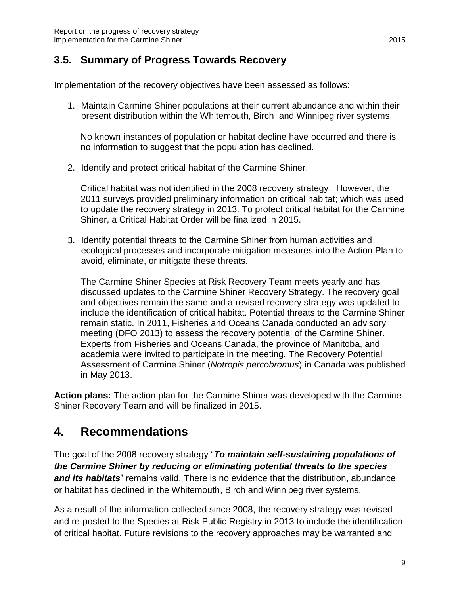### <span id="page-14-0"></span>**3.5. Summary of Progress Towards Recovery**

Implementation of the recovery objectives have been assessed as follows:

1. Maintain Carmine Shiner populations at their current abundance and within their present distribution within the Whitemouth, Birch and Winnipeg river systems.

No known instances of population or habitat decline have occurred and there is no information to suggest that the population has declined.

2. Identify and protect critical habitat of the Carmine Shiner.

Critical habitat was not identified in the 2008 recovery strategy. However, the 2011 surveys provided preliminary information on critical habitat; which was used to update the recovery strategy in 2013. To protect critical habitat for the Carmine Shiner, a Critical Habitat Order will be finalized in 2015.

3. Identify potential threats to the Carmine Shiner from human activities and ecological processes and incorporate mitigation measures into the Action Plan to avoid, eliminate, or mitigate these threats.

The Carmine Shiner Species at Risk Recovery Team meets yearly and has discussed updates to the Carmine Shiner Recovery Strategy. The recovery goal and objectives remain the same and a revised recovery strategy was updated to include the identification of critical habitat. Potential threats to the Carmine Shiner remain static. In 2011, Fisheries and Oceans Canada conducted an advisory meeting (DFO 2013) to assess the recovery potential of the Carmine Shiner. Experts from Fisheries and Oceans Canada, the province of Manitoba, and academia were invited to participate in the meeting. The Recovery Potential Assessment of Carmine Shiner (*Notropis percobromus*) in Canada was published in May 2013.

**Action plans:** The action plan for the Carmine Shiner was developed with the Carmine Shiner Recovery Team and will be finalized in 2015.

## <span id="page-14-1"></span>**4. Recommendations**

The goal of the 2008 recovery strategy "*To maintain self-sustaining populations of the Carmine Shiner by reducing or eliminating potential threats to the species and its habitats*" remains valid. There is no evidence that the distribution, abundance or habitat has declined in the Whitemouth, Birch and Winnipeg river systems.

As a result of the information collected since 2008, the recovery strategy was revised and re-posted to the Species at Risk Public Registry in 2013 to include the identification of critical habitat. Future revisions to the recovery approaches may be warranted and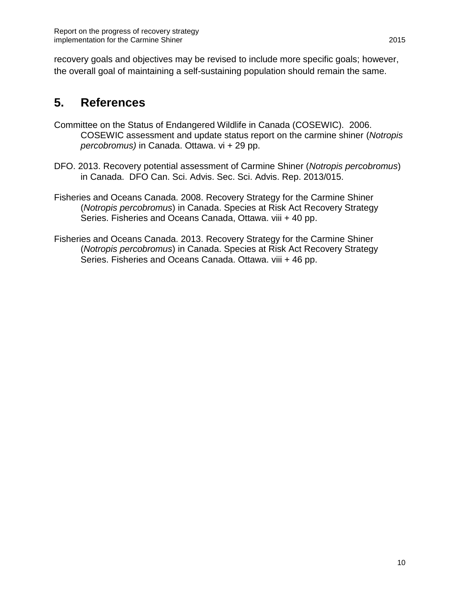recovery goals and objectives may be revised to include more specific goals; however, the overall goal of maintaining a self-sustaining population should remain the same.

# <span id="page-15-0"></span>**5. References**

- Committee on the Status of Endangered Wildlife in Canada (COSEWIC). 2006. COSEWIC assessment and update status report on the carmine shiner (*Notropis percobromus)* in Canada. Ottawa. vi + 29 pp.
- [DFO. 2013.](http://www.dfo-mpo.gc.ca/csas-sccs/Publications/SAR-AS/2013/2013_015-eng.html) Recovery potential assessment of Carmine Shiner (*Notropis percobromus*) in Canada. DFO Can. Sci. Advis. Sec. Sci. Advis. Rep. 2013/015.
- [Fisheries and Oceans Canada. 2008.](http://www.sararegistry.gc.ca/virtual_sara/files/plans/rs_Carmine_shiner_0208_e.pdf) Recovery Strategy for the Carmine Shiner (*Notropis percobromus*) in Canada. Species at Risk Act Recovery Strategy Series. Fisheries and Oceans Canada, Ottawa. viii + 40 pp.
- [Fisheries and Oceans Canada. 2013.](http://www.sararegistry.gc.ca/virtual_sara/files/plans/rs_tete_carminee_carmine_shiner_1013c_e.pdf) Recovery Strategy for the Carmine Shiner (*Notropis percobromus*) in Canada. Species at Risk Act Recovery Strategy Series. Fisheries and Oceans Canada. Ottawa. viii + 46 pp.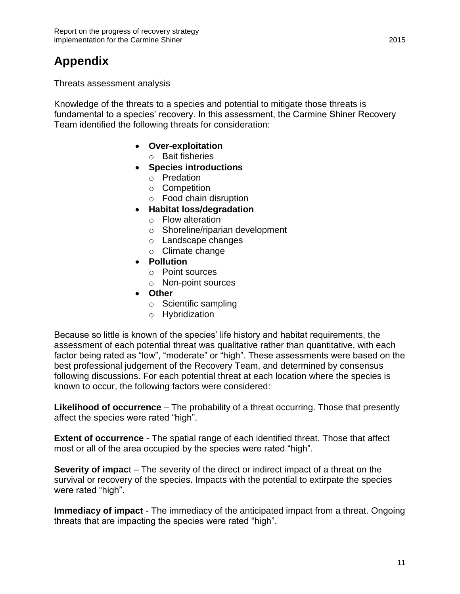# <span id="page-16-0"></span>**Appendix**

Threats assessment analysis

Knowledge of the threats to a species and potential to mitigate those threats is fundamental to a species' recovery. In this assessment, the Carmine Shiner Recovery Team identified the following threats for consideration:

- **Over-exploitation**
	- o Bait fisheries
- **Species introductions**
	- o Predation
	- o Competition
	- o Food chain disruption
- **Habitat loss/degradation**
	- o Flow alteration
	- o Shoreline/riparian development
	- o Landscape changes
	- o Climate change
- **Pollution**
	- o Point sources
	- o Non-point sources
- **Other**
	- o Scientific sampling
	- o Hybridization

Because so little is known of the species' life history and habitat requirements, the assessment of each potential threat was qualitative rather than quantitative, with each factor being rated as "low", "moderate" or "high". These assessments were based on the best professional judgement of the Recovery Team, and determined by consensus following discussions. For each potential threat at each location where the species is known to occur, the following factors were considered:

**Likelihood of occurrence** – The probability of a threat occurring. Those that presently affect the species were rated "high".

**Extent of occurrence** - The spatial range of each identified threat. Those that affect most or all of the area occupied by the species were rated "high".

**Severity of impac**t – The severity of the direct or indirect impact of a threat on the survival or recovery of the species. Impacts with the potential to extirpate the species were rated "high".

**Immediacy of impact** - The immediacy of the anticipated impact from a threat. Ongoing threats that are impacting the species were rated "high".